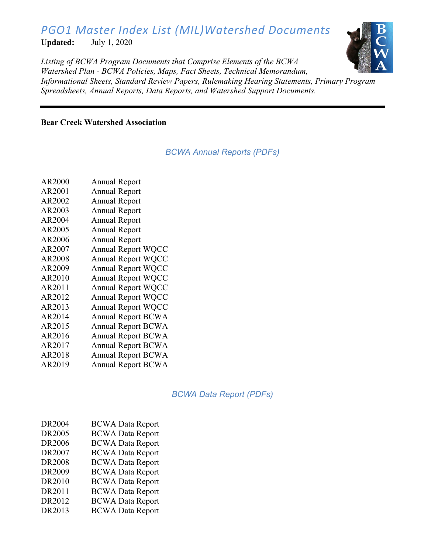# *PGO1 Master Index List (MIL)Watershed Documents*

**Updated:** July 1, 2020



*Listing of BCWA Program Documents that Comprise Elements of the BCWA Watershed Plan - BCWA Policies, Maps, Fact Sheets, Technical Memorandum, Informational Sheets, Standard Review Papers, Rulemaking Hearing Statements, Primary Program Spreadsheets, Annual Reports, Data Reports, and Watershed Support Documents.*

## **Bear Creek Watershed Association**

|  |  | <b>BCWA Annual Reports (PDFs)</b> |  |
|--|--|-----------------------------------|--|
|--|--|-----------------------------------|--|

| AR2000 | <b>Annual Report</b>      |
|--------|---------------------------|
| AR2001 | <b>Annual Report</b>      |
| AR2002 | <b>Annual Report</b>      |
| AR2003 | <b>Annual Report</b>      |
| AR2004 | <b>Annual Report</b>      |
| AR2005 | <b>Annual Report</b>      |
| AR2006 | <b>Annual Report</b>      |
| AR2007 | <b>Annual Report WQCC</b> |
| AR2008 | <b>Annual Report WQCC</b> |
| AR2009 | Annual Report WQCC        |
| AR2010 | <b>Annual Report WQCC</b> |
| AR2011 | <b>Annual Report WQCC</b> |
| AR2012 | <b>Annual Report WQCC</b> |
| AR2013 | Annual Report WQCC        |
| AR2014 | <b>Annual Report BCWA</b> |
| AR2015 | <b>Annual Report BCWA</b> |
| AR2016 | <b>Annual Report BCWA</b> |
| AR2017 | <b>Annual Report BCWA</b> |
| AR2018 | <b>Annual Report BCWA</b> |
| AR2019 | <b>Annual Report BCWA</b> |
|        |                           |

# *BCWA Data Report (PDFs)*

| DR2004        | <b>BCWA Data Report</b> |
|---------------|-------------------------|
| DR2005        | <b>BCWA Data Report</b> |
| DR2006        | <b>BCWA Data Report</b> |
| DR2007        | <b>BCWA Data Report</b> |
| <b>DR2008</b> | <b>BCWA Data Report</b> |
| DR2009        | <b>BCWA Data Report</b> |
| DR2010        | <b>BCWA Data Report</b> |
| DR2011        | <b>BCWA Data Report</b> |
| DR2012        | <b>BCWA Data Report</b> |
| DR2013        | <b>BCWA Data Report</b> |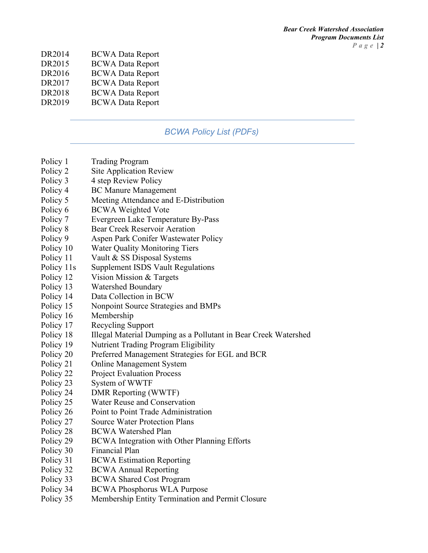| DR2014         | <b>BCWA Data Report</b> |
|----------------|-------------------------|
| <b>DDA</b> 015 | DOUILLE.                |

- DR2015 BCWA Data Report
- DR2016 BCWA Data Report
- DR2017 BCWA Data Report DR2018 BCWA Data Report
- DR2019 BCWA Data Report

# *BCWA Policy List (PDFs)*

- Policy 1 Trading Program
- Policy 2 Site Application Review
- Policy 3 4 step Review Policy
- Policy 4 BC Manure Management
- Policy 5 Meeting Attendance and E-Distribution
- Policy 6 BCWA Weighted Vote
- Policy 7 Evergreen Lake Temperature By-Pass
- Policy 8 Bear Creek Reservoir Aeration
- Policy 9 Aspen Park Conifer Wastewater Policy
- Policy 10 Water Quality Monitoring Tiers
- Policy 11 Vault & SS Disposal Systems
- Policy 11s Supplement ISDS Vault Regulations
- Policy 12 Vision Mission & Targets
- Policy 13 Watershed Boundary
- Policy 14 Data Collection in BCW
- Policy 15 Nonpoint Source Strategies and BMPs
- Policy 16 Membership
- Policy 17 Recycling Support
- Policy 18 Illegal Material Dumping as a Pollutant in Bear Creek Watershed
- Policy 19 Nutrient Trading Program Eligibility
- Policy 20 Preferred Management Strategies for EGL and BCR
- Policy 21 Online Management System
- Policy 22 Project Evaluation Process
- Policy 23 System of WWTF
- Policy 24 DMR Reporting (WWTF)
- Policy 25 Water Reuse and Conservation
- Policy 26 Point to Point Trade Administration
- Policy 27 Source Water Protection Plans
- Policy 28 BCWA Watershed Plan
- Policy 29 BCWA Integration with Other Planning Efforts
- Policy 30 Financial Plan
- Policy 31 BCWA Estimation Reporting
- Policy 32 BCWA Annual Reporting
- Policy 33 BCWA Shared Cost Program
- Policy 34 BCWA Phosphorus WLA Purpose
- Policy 35 Membership Entity Termination and Permit Closure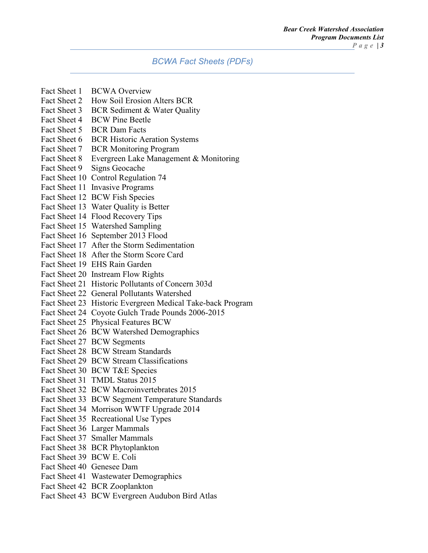#### *BCWA Fact Sheets (PDFs)*

- Fact Sheet 1 BCWA Overview
- Fact Sheet 2 How Soil Erosion Alters BCR
- Fact Sheet 3 BCR Sediment & Water Quality
- Fact Sheet 4 BCW Pine Beetle
- Fact Sheet 5 BCR Dam Facts
- Fact Sheet 6 BCR Historic Aeration Systems
- Fact Sheet 7 BCR Monitoring Program
- Fact Sheet 8 Evergreen Lake Management & Monitoring
- Fact Sheet 9 Signs Geocache
- Fact Sheet 10 Control Regulation 74
- Fact Sheet 11 Invasive Programs
- Fact Sheet 12 BCW Fish Species
- Fact Sheet 13 Water Quality is Better
- Fact Sheet 14 Flood Recovery Tips
- Fact Sheet 15 Watershed Sampling
- Fact Sheet 16 September 2013 Flood
- Fact Sheet 17 After the Storm Sedimentation
- Fact Sheet 18 After the Storm Score Card
- Fact Sheet 19 EHS Rain Garden
- Fact Sheet 20 Instream Flow Rights
- Fact Sheet 21 Historic Pollutants of Concern 303d
- Fact Sheet 22 General Pollutants Watershed
- Fact Sheet 23 Historic Evergreen Medical Take-back Program
- Fact Sheet 24 Coyote Gulch Trade Pounds 2006-2015
- Fact Sheet 25 Physical Features BCW
- Fact Sheet 26 BCW Watershed Demographics
- Fact Sheet 27 BCW Segments
- Fact Sheet 28 BCW Stream Standards
- Fact Sheet 29 BCW Stream Classifications
- Fact Sheet 30 BCW T&E Species
- Fact Sheet 31 TMDL Status 2015
- Fact Sheet 32 BCW Macroinvertebrates 2015
- Fact Sheet 33 BCW Segment Temperature Standards
- Fact Sheet 34 Morrison WWTF Upgrade 2014
- Fact Sheet 35 Recreational Use Types
- Fact Sheet 36 Larger Mammals
- Fact Sheet 37 Smaller Mammals
- Fact Sheet 38 BCR Phytoplankton
- Fact Sheet 39 BCW E. Coli
- Fact Sheet 40 Genesee Dam
- Fact Sheet 41 Wastewater Demographics
- Fact Sheet 42 BCR Zooplankton
- Fact Sheet 43 BCW Evergreen Audubon Bird Atlas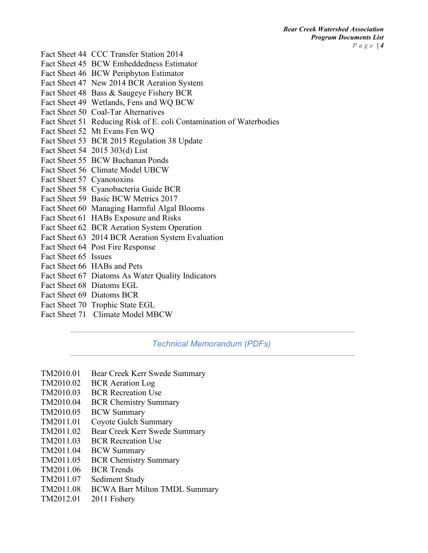- Fact Sheet 44 CCC Transfer Station 2014
- Fact Sheet 45 BCW Embeddedness Estimator
- Fact Sheet 46 BCW Periphyton Estimator
- Fact Sheet 47 New 2014 BCR Aeration System
- Fact Sheet 48 Bass & Saugeye Fishery BCR
- Fact Sheet 49 Wetlands, Fens and WQ BCW
- Fact Sheet 50 Coal-Tar Alternatives
- Fact Sheet 51 Reducing Risk of E. coli Contamination of Waterbodies
- Fact Sheet 52 Mt Evans Fen WQ
- Fact Sheet 53 BCR 2015 Regulation 38 Update
- Fact Sheet 54 2015 303(d) List
- Fact Sheet 55 BCW Buchanan Ponds
- Fact Sheet 56 Climate Model UBCW
- Fact Sheet 57 Cyanotoxins
- Fact Sheet 58 Cyanobacteria Guide BCR
- Fact Sheet 59 Basic BCW Metrics 2017
- Fact Sheet 60 Managing Harmful Algal Blooms
- Fact Sheet 61 HABs Exposure and Risks
- Fact Sheet 62 BCR Aeration System Operation
- Fact Sheet 63 2014 BCR Aeration System Evaluation
- Fact Sheet 64 Post Fire Response
- Fact Sheet 65 Issues
- Fact Sheet 66 HABs and Pets
- Fact Sheet 67 Diatoms As Water Quality Indicators
- Fact Sheet 68 Diatoms EGL
- Fact Sheet 69 Diatoms BCR
- Fact Sheet 70 Trophic State EGL
- Fact Sheet 71 Climate Model MBCW

*Technical Memorandum (PDFs)*

- TM2010.01 Bear Creek Kerr Swede Summary
- TM2010.02 BCR Aeration Log
- TM2010.03 BCR Recreation Use
- TM2010.04 BCR Chemistry Summary
- TM2010.05 BCW Summary
- TM2011.01 Coyote Gulch Summary
- TM2011.02 Bear Creek Kerr Swede Summary
- TM2011.03 BCR Recreation Use
- TM2011.04 BCW Summary
- TM2011.05 BCR Chemistry Summary
- TM2011.06 BCR Trends
- TM2011.07 Sediment Study
- TM2011.08 BCWA Barr Milton TMDL Summary
- TM2012.01 2011 Fishery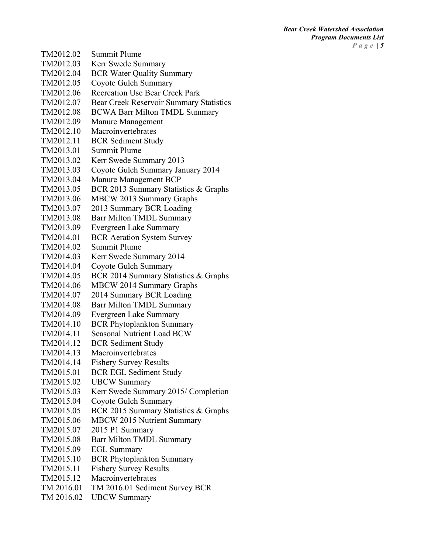| TM2012.02  | <b>Summit Plume</b>                            |
|------------|------------------------------------------------|
| TM2012.03  | Kerr Swede Summary                             |
| TM2012.04  | <b>BCR Water Quality Summary</b>               |
| TM2012.05  | Coyote Gulch Summary                           |
| TM2012.06  | <b>Recreation Use Bear Creek Park</b>          |
| TM2012.07  | <b>Bear Creek Reservoir Summary Statistics</b> |
| TM2012.08  | <b>BCWA Barr Milton TMDL Summary</b>           |
| TM2012.09  | Manure Management                              |
| TM2012.10  | Macroinvertebrates                             |
| TM2012.11  | <b>BCR</b> Sediment Study                      |
| TM2013.01  | Summit Plume                                   |
| TM2013.02  | Kerr Swede Summary 2013                        |
| TM2013.03  | Coyote Gulch Summary January 2014              |
| TM2013.04  | Manure Management BCP                          |
| TM2013.05  | BCR 2013 Summary Statistics & Graphs           |
| TM2013.06  | MBCW 2013 Summary Graphs                       |
| TM2013.07  | 2013 Summary BCR Loading                       |
| TM2013.08  | <b>Barr Milton TMDL Summary</b>                |
| TM2013.09  | Evergreen Lake Summary                         |
| TM2014.01  | <b>BCR Aeration System Survey</b>              |
| TM2014.02  | <b>Summit Plume</b>                            |
| TM2014.03  | Kerr Swede Summary 2014                        |
| TM2014.04  | Coyote Gulch Summary                           |
| TM2014.05  | BCR 2014 Summary Statistics & Graphs           |
| TM2014.06  | <b>MBCW 2014 Summary Graphs</b>                |
| TM2014.07  | 2014 Summary BCR Loading                       |
| TM2014.08  | Barr Milton TMDL Summary                       |
| TM2014.09  | Evergreen Lake Summary                         |
| TM2014.10  | <b>BCR Phytoplankton Summary</b>               |
| TM2014.11  | <b>Seasonal Nutrient Load BCW</b>              |
| TM2014.12  | <b>BCR</b> Sediment Study                      |
| TM2014.13  | Macroinvertebrates                             |
| TM2014.14  | <b>Fishery Survey Results</b>                  |
| TM2015.01  | <b>BCR EGL Sediment Study</b>                  |
| TM2015.02  | <b>UBCW Summary</b>                            |
| TM2015.03  | Kerr Swede Summary 2015/ Completion            |
| TM2015.04  | Coyote Gulch Summary                           |
| TM2015.05  | BCR 2015 Summary Statistics & Graphs           |
| TM2015.06  | <b>MBCW 2015 Nutrient Summary</b>              |
| TM2015.07  | 2015 P1 Summary                                |
| TM2015.08  | <b>Barr Milton TMDL Summary</b>                |
| TM2015.09  | <b>EGL Summary</b>                             |
| TM2015.10  | <b>BCR Phytoplankton Summary</b>               |
| TM2015.11  | <b>Fishery Survey Results</b>                  |
| TM2015.12  | Macroinvertebrates                             |
| TM 2016.01 | TM 2016.01 Sediment Survey BCR                 |
| TM 2016.02 | <b>UBCW Summary</b>                            |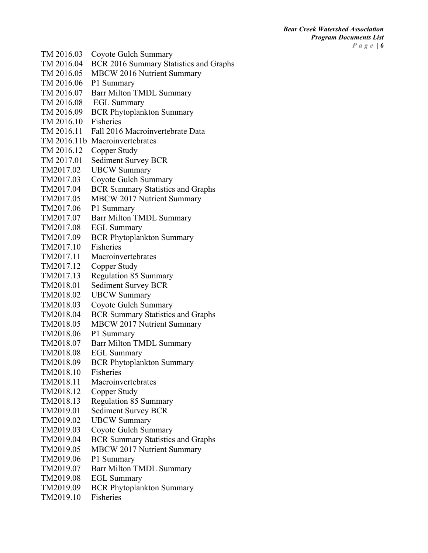TM 2016.03 Coyote Gulch Summary TM 2016.04 BCR 2016 Summary Statistics and Graphs TM 2016.05 MBCW 2016 Nutrient Summary TM 2016.06 P1 Summary TM 2016.07 Barr Milton TMDL Summary TM 2016.08 EGL Summary TM 2016.09 BCR Phytoplankton Summary TM 2016.10 Fisheries TM 2016.11 Fall 2016 Macroinvertebrate Data TM 2016.11b Macroinvertebrates TM 2016.12 Copper Study TM 2017.01 Sediment Survey BCR TM2017.02 UBCW Summary TM2017.03 Coyote Gulch Summary TM2017.04 BCR Summary Statistics and Graphs TM2017.05 MBCW 2017 Nutrient Summary TM2017.06 P1 Summary TM2017.07 Barr Milton TMDL Summary TM2017.08 EGL Summary TM2017.09 BCR Phytoplankton Summary TM2017.10 Fisheries TM2017.11 Macroinvertebrates TM2017.12 Copper Study TM2017.13 Regulation 85 Summary TM2018.01 Sediment Survey BCR TM2018.02 UBCW Summary TM2018.03 Coyote Gulch Summary TM2018.04 BCR Summary Statistics and Graphs TM2018.05 MBCW 2017 Nutrient Summary TM2018.06 P1 Summary TM2018.07 Barr Milton TMDL Summary TM2018.08 EGL Summary TM2018.09 BCR Phytoplankton Summary TM2018.10 Fisheries TM2018.11 Macroinvertebrates TM2018.12 Copper Study TM2018.13 Regulation 85 Summary TM2019.01 Sediment Survey BCR TM2019.02 UBCW Summary TM2019.03 Coyote Gulch Summary TM2019.04 BCR Summary Statistics and Graphs TM2019.05 MBCW 2017 Nutrient Summary TM2019.06 P1 Summary TM2019.07 Barr Milton TMDL Summary TM2019.08 EGL Summary TM2019.09 BCR Phytoplankton Summary TM2019.10 Fisheries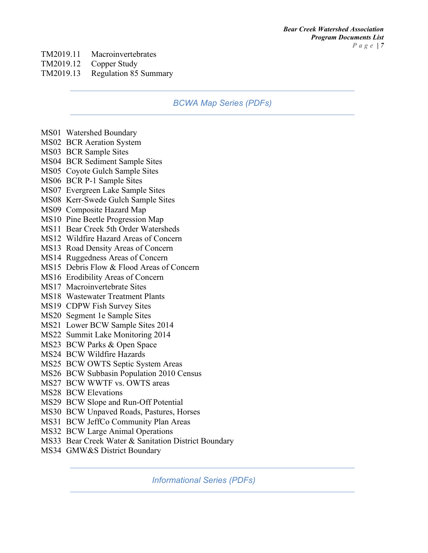#### TM2019.11 Macroinvertebrates

TM2019.12 Copper Study

#### TM2019.13 Regulation 85 Summary

## *BCWA Map Series (PDFs)*

- MS01 Watershed Boundary
- MS02 BCR Aeration System
- MS03 BCR Sample Sites
- MS04 BCR Sediment Sample Sites
- MS05 Coyote Gulch Sample Sites
- MS06 BCR P-1 Sample Sites
- MS07 Evergreen Lake Sample Sites
- MS08 Kerr-Swede Gulch Sample Sites
- MS09 Composite Hazard Map
- MS10 Pine Beetle Progression Map
- MS11 Bear Creek 5th Order Watersheds
- MS12 Wildfire Hazard Areas of Concern
- MS13 Road Density Areas of Concern
- MS14 Ruggedness Areas of Concern
- MS15 Debris Flow & Flood Areas of Concern
- MS16 Erodibility Areas of Concern
- MS17 Macroinvertebrate Sites
- MS18 Wastewater Treatment Plants
- MS19 CDPW Fish Survey Sites
- MS20 Segment 1e Sample Sites
- MS21 Lower BCW Sample Sites 2014
- MS22 Summit Lake Monitoring 2014
- MS23 BCW Parks & Open Space
- MS24 BCW Wildfire Hazards
- MS25 BCW OWTS Septic System Areas
- MS26 BCW Subbasin Population 2010 Census
- MS27 BCW WWTF vs. OWTS areas
- MS28 BCW Elevations
- MS29 BCW Slope and Run-Off Potential
- MS30 BCW Unpaved Roads, Pastures, Horses
- MS31 BCW JeffCo Community Plan Areas
- MS32 BCW Large Animal Operations
- MS33 Bear Creek Water & Sanitation District Boundary
- MS34 GMW&S District Boundary

*Informational Series (PDFs)*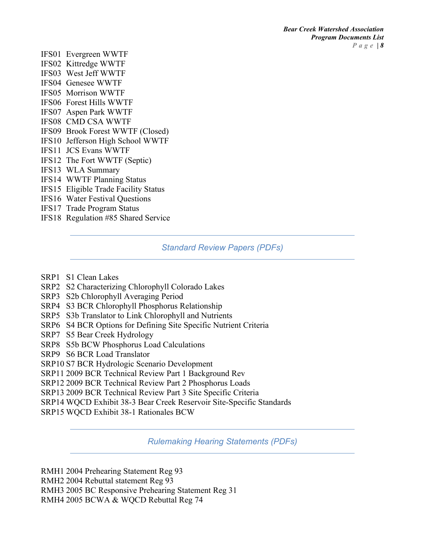- IFS01 Evergreen WWTF
- IFS02 Kittredge WWTF
- IFS03 West Jeff WWTF
- IFS04 Genesee WWTF
- IFS05 Morrison WWTF
- IFS06 Forest Hills WWTF
- IFS07 Aspen Park WWTF
- IFS08 CMD CSA WWTF
- IFS09 Brook Forest WWTF (Closed)
- IFS10 Jefferson High School WWTF
- IFS11 JCS Evans WWTF
- IFS12 The Fort WWTF (Septic)
- IFS13 WLA Summary
- IFS14 WWTF Planning Status
- IFS15 Eligible Trade Facility Status
- IFS16 Water Festival Questions
- IFS17 Trade Program Status
- IFS18 Regulation #85 Shared Service

# *Standard Review Papers (PDFs)*

- SRP1 S1 Clean Lakes
- SRP2 S2 Characterizing Chlorophyll Colorado Lakes
- SRP3 S2b Chlorophyll Averaging Period
- SRP4 S3 BCR Chlorophyll Phosphorus Relationship
- SRP5 S3b Translator to Link Chlorophyll and Nutrients
- SRP6 S4 BCR Options for Defining Site Specific Nutrient Criteria
- SRP7 S5 Bear Creek Hydrology
- SRP8 S5b BCW Phosphorus Load Calculations
- SRP9 S6 BCR Load Translator
- SRP10 S7 BCR Hydrologic Scenario Development
- SRP11 2009 BCR Technical Review Part 1 Background Rev
- SRP12 2009 BCR Technical Review Part 2 Phosphorus Loads
- SRP13 2009 BCR Technical Review Part 3 Site Specific Criteria
- SRP14 WQCD Exhibit 38-3 Bear Creek Reservoir Site-Specific Standards
- SRP15 WQCD Exhibit 38-1 Rationales BCW

*Rulemaking Hearing Statements (PDFs)*

- RMH1 2004 Prehearing Statement Reg 93
- RMH2 2004 Rebuttal statement Reg 93
- RMH3 2005 BC Responsive Prehearing Statement Reg 31
- RMH4 2005 BCWA & WQCD Rebuttal Reg 74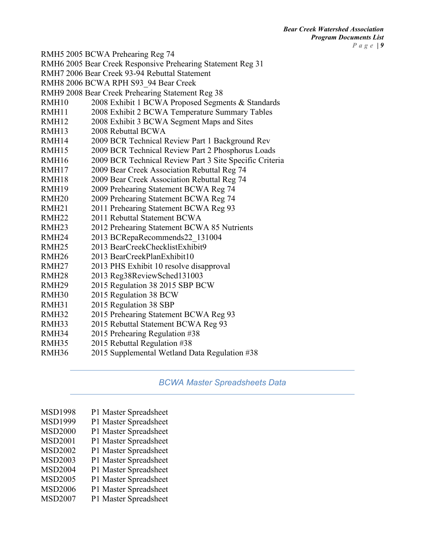RMH5 2005 BCWA Prehearing Reg 74 RMH6 2005 Bear Creek Responsive Prehearing Statement Reg 31 RMH7 2006 Bear Creek 93-94 Rebuttal Statement RMH8 2006 BCWA RPH S93\_94 Bear Creek RMH9 2008 Bear Creek Prehearing Statement Reg 38 RMH10 2008 Exhibit 1 BCWA Proposed Segments & Standards RMH11 2008 Exhibit 2 BCWA Temperature Summary Tables RMH12 2008 Exhibit 3 BCWA Segment Maps and Sites RMH13 2008 Rebuttal BCWA RMH14 2009 BCR Technical Review Part 1 Background Rev RMH15 2009 BCR Technical Review Part 2 Phosphorus Loads RMH16 2009 BCR Technical Review Part 3 Site Specific Criteria RMH17 2009 Bear Creek Association Rebuttal Reg 74 RMH18 2009 Bear Creek Association Rebuttal Reg 74 RMH19 2009 Prehearing Statement BCWA Reg 74 RMH20 2009 Prehearing Statement BCWA Reg 74 RMH21 2011 Prehearing Statement BCWA Reg 93 RMH22 2011 Rebuttal Statement BCWA RMH23 2012 Prehearing Statement BCWA 85 Nutrients RMH24 2013 BCRepaRecommends22 131004 RMH25 2013 BearCreekChecklistExhibit9 RMH26 2013 BearCreekPlanExhibit10 RMH27 2013 PHS Exhibit 10 resolve disapproval RMH28 2013 Reg38ReviewSched131003 RMH29 2015 Regulation 38 2015 SBP BCW RMH30 2015 Regulation 38 BCW RMH31 2015 Regulation 38 SBP RMH32 2015 Prehearing Statement BCWA Reg 93 RMH33 2015 Rebuttal Statement BCWA Reg 93 RMH34 2015 Prehearing Regulation #38 RMH35 2015 Rebuttal Regulation #38 RMH36 2015 Supplemental Wetland Data Regulation #38

*BCWA Master Spreadsheets Data*

- MSD1998 P1 Master Spreadsheet MSD1999 P1 Master Spreadsheet MSD2000 P1 Master Spreadsheet MSD2001 P1 Master Spreadsheet MSD2002 P1 Master Spreadsheet MSD2003 P1 Master Spreadsheet MSD2004 P1 Master Spreadsheet MSD2005 P1 Master Spreadsheet MSD2006 P1 Master Spreadsheet
- MSD2007 P1 Master Spreadsheet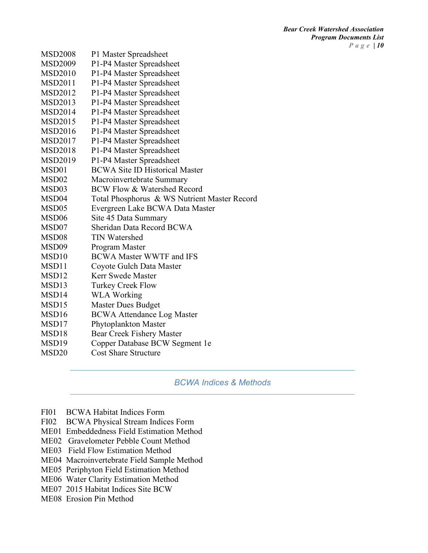*Bear Creek Watershed Association Program Documents List Page | 10*

| <b>MSD2008</b>    | P1 Master Spreadsheet                        |
|-------------------|----------------------------------------------|
| <b>MSD2009</b>    | P1-P4 Master Spreadsheet                     |
| <b>MSD2010</b>    | P1-P4 Master Spreadsheet                     |
| <b>MSD2011</b>    | P1-P4 Master Spreadsheet                     |
| <b>MSD2012</b>    | P1-P4 Master Spreadsheet                     |
| <b>MSD2013</b>    | P1-P4 Master Spreadsheet                     |
| <b>MSD2014</b>    | P1-P4 Master Spreadsheet                     |
| <b>MSD2015</b>    | P1-P4 Master Spreadsheet                     |
| <b>MSD2016</b>    | P1-P4 Master Spreadsheet                     |
| <b>MSD2017</b>    | P1-P4 Master Spreadsheet                     |
| <b>MSD2018</b>    | P1-P4 Master Spreadsheet                     |
| MSD2019           | P1-P4 Master Spreadsheet                     |
| MSD01             | <b>BCWA Site ID Historical Master</b>        |
| MSD <sub>02</sub> | Macroinvertebrate Summary                    |
| MSD <sub>03</sub> | <b>BCW Flow &amp; Watershed Record</b>       |
| MSD <sub>04</sub> | Total Phosphorus & WS Nutrient Master Record |
| MSD <sub>05</sub> | Evergreen Lake BCWA Data Master              |
| MSD <sub>06</sub> | Site 45 Data Summary                         |
| MSD07             | Sheridan Data Record BCWA                    |
| MSD <sub>08</sub> | <b>TIN Watershed</b>                         |
| MSD09             | Program Master                               |
| MSD <sub>10</sub> | <b>BCWA Master WWTF and IFS</b>              |
| MSD11             | Coyote Gulch Data Master                     |
| MSD <sub>12</sub> | Kerr Swede Master                            |
| MSD13             | <b>Turkey Creek Flow</b>                     |
| MSD14             | <b>WLA Working</b>                           |
| MSD <sub>15</sub> | <b>Master Dues Budget</b>                    |
| MSD <sub>16</sub> | <b>BCWA Attendance Log Master</b>            |
| MSD17             | Phytoplankton Master                         |
| MSD18             | <b>Bear Creek Fishery Master</b>             |
| MSD <sub>19</sub> | Copper Database BCW Segment 1e               |
| MSD <sub>20</sub> | <b>Cost Share Structure</b>                  |

*BCWA Indices & Methods*

- FI01 BCWA Habitat Indices Form
- FI02 BCWA Physical Stream Indices Form
- ME01 Embeddedness Field Estimation Method
- ME02 Gravelometer Pebble Count Method
- ME03 Field Flow Estimation Method
- ME04 Macroinvertebrate Field Sample Method
- ME05 Periphyton Field Estimation Method
- ME06 Water Clarity Estimation Method
- ME07 2015 Habitat Indices Site BCW
- ME08 Erosion Pin Method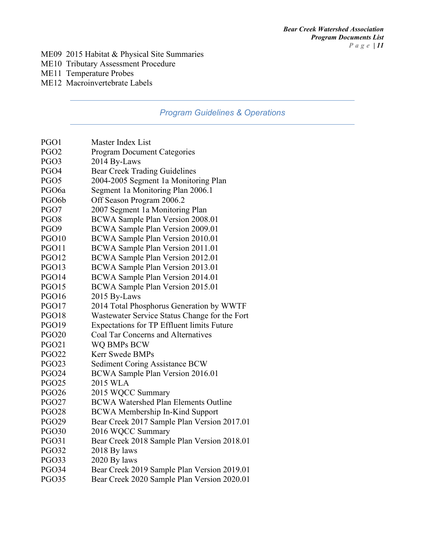#### ME09 2015 Habitat & Physical Site Summaries

- ME10 Tributary Assessment Procedure
- ME11 Temperature Probes
- ME12 Macroinvertebrate Labels

# *Program Guidelines & Operations*

| PGO1               | Master Index List                             |
|--------------------|-----------------------------------------------|
| PGO <sub>2</sub>   | <b>Program Document Categories</b>            |
| PGO3               | 2014 By-Laws                                  |
| PGO4               | <b>Bear Creek Trading Guidelines</b>          |
| PGO <sub>5</sub>   | 2004-2005 Segment 1a Monitoring Plan          |
| PGO <sub>6a</sub>  | Segment 1a Monitoring Plan 2006.1             |
| PGO <sub>6</sub> b | Off Season Program 2006.2                     |
| PGO7               | 2007 Segment 1a Monitoring Plan               |
| PGO <sub>8</sub>   | BCWA Sample Plan Version 2008.01              |
| PGO9               | BCWA Sample Plan Version 2009.01              |
| PGO10              | BCWA Sample Plan Version 2010.01              |
| PGO11              | BCWA Sample Plan Version 2011.01              |
| <b>PGO12</b>       | BCWA Sample Plan Version 2012.01              |
| PGO13              | BCWA Sample Plan Version 2013.01              |
| PGO14              | BCWA Sample Plan Version 2014.01              |
| <b>PGO15</b>       | BCWA Sample Plan Version 2015.01              |
| PGO16              | 2015 By-Laws                                  |
| PGO17              | 2014 Total Phosphorus Generation by WWTF      |
| PGO18              | Wastewater Service Status Change for the Fort |
| <b>PGO19</b>       | Expectations for TP Effluent limits Future    |
| <b>PGO20</b>       | Coal Tar Concerns and Alternatives            |
| <b>PGO21</b>       | WQ BMPs BCW                                   |
| <b>PGO22</b>       | Kerr Swede BMPs                               |
| <b>PGO23</b>       | <b>Sediment Coring Assistance BCW</b>         |
| <b>PGO24</b>       | BCWA Sample Plan Version 2016.01              |
| <b>PGO25</b>       | 2015 WLA                                      |
| <b>PGO26</b>       | 2015 WQCC Summary                             |
| <b>PGO27</b>       | <b>BCWA Watershed Plan Elements Outline</b>   |
| <b>PGO28</b>       | <b>BCWA Membership In-Kind Support</b>        |
| <b>PGO29</b>       | Bear Creek 2017 Sample Plan Version 2017.01   |
| <b>PGO30</b>       | 2016 WQCC Summary                             |
| <b>PGO31</b>       | Bear Creek 2018 Sample Plan Version 2018.01   |
| <b>PGO32</b>       | 2018 By laws                                  |
| PGO33              | 2020 By laws                                  |
| <b>PGO34</b>       | Bear Creek 2019 Sample Plan Version 2019.01   |
| <b>PGO35</b>       | Bear Creek 2020 Sample Plan Version 2020.01   |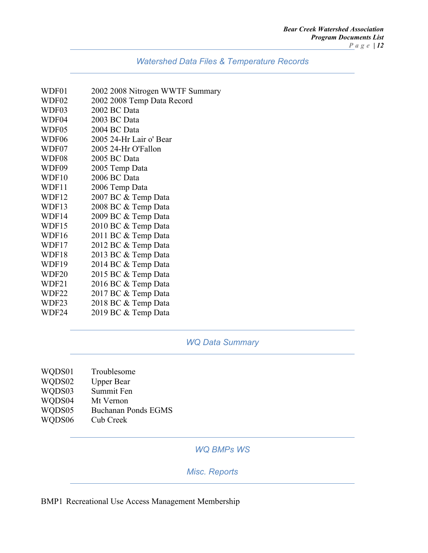| WDF01             | 2002 2008 Nitrogen WWTF Summary |
|-------------------|---------------------------------|
| WDF02             | 2002 2008 Temp Data Record      |
| WDF03             | 2002 BC Data                    |
| WDF04             | 2003 BC Data                    |
| WDF05             | 2004 BC Data                    |
| WDF06             | 2005 24-Hr Lair o' Bear         |
| WDF07             | 2005 24-Hr O'Fallon             |
| WDF08             | 2005 BC Data                    |
| WDF09             | 2005 Temp Data                  |
| WDF10             | 2006 BC Data                    |
| WDF11             | 2006 Temp Data                  |
| WDF12             | 2007 BC & Temp Data             |
| WDF13             | 2008 BC & Temp Data             |
| WDF14             | 2009 BC & Temp Data             |
| WDF15             | 2010 BC & Temp Data             |
| WDF16             | 2011 BC & Temp Data             |
| WDF17             | 2012 BC & Temp Data             |
| WDF18             | 2013 BC & Temp Data             |
| WDF19             | 2014 BC & Temp Data             |
| WDF <sub>20</sub> | 2015 BC & Temp Data             |
| WDF21             | 2016 BC & Temp Data             |
| WDF22             | 2017 BC & Temp Data             |
| WDF23             | 2018 BC & Temp Data             |
| WDF24             | 2019 BC & Temp Data             |

# *WQ Data Summary*

| WQDS01 | Troublesome                |
|--------|----------------------------|
| WQDS02 | <b>Upper Bear</b>          |
| WQDS03 | Summit Fen                 |
| WQDS04 | Mt Vernon                  |
| WQDS05 | <b>Buchanan Ponds EGMS</b> |
| WQDS06 | Cub Creek                  |
|        |                            |

## *WQ BMPs WS*

## *Misc. Reports*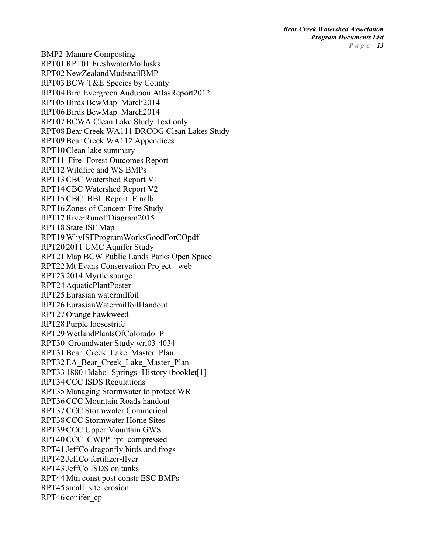BMP2 Manure Composting RPT01RPT01 FreshwaterMollusks RPT02 NewZealandMudsnailBMP RPT03BCW T&E Species by County RPT04Bird Evergreen Audubon AtlasReport2012 RPT05Birds BcwMap\_March2014 RPT06Birds BcwMap\_March2014 RPT07BCWA Clean Lake Study Text only RPT08Bear Creek WA111 DRCOG Clean Lakes Study RPT09 Bear Creek WA112 Appendices RPT10Clean lake summary RPT11 Fire+Forest Outcomes Report RPT12 Wildfire and WS BMPs RPT13CBC Watershed Report V1 RPT14CBC Watershed Report V2 RPT15 CBC\_BBI\_Report\_Finalb RPT16 Zones of Concern Fire Study RPT17RiverRunoffDiagram2015 RPT18 State ISF Map RPT19 WhyISFProgramWorksGoodForCOpdf RPT20 2011 UMC Aquifer Study RPT21 Map BCW Public Lands Parks Open Space RPT22 Mt Evans Conservation Project - web RPT23 2014 Myrtle spurge RPT24 AquaticPlantPoster RPT25 Eurasian watermilfoil RPT26 EurasianWatermilfoilHandout RPT27 Orange hawkweed RPT28 Purple loosestrife RPT29 WetlandPlantsOfColorado\_P1 RPT30 Groundwater Study wri03-4034 RPT31Bear\_Creek\_Lake\_Master\_Plan RPT32 EA\_Bear\_Creek\_Lake\_Master\_Plan RPT33 1880+Idaho+Springs+History+booklet[1] RPT34CCC ISDS Regulations RPT35 Managing Stormwater to protect WR RPT36CCC Mountain Roads handout RPT37CCC Stormwater Commerical RPT38CCC Stormwater Home Sites RPT39CCC Upper Mountain GWS RPT40CCC\_CWPP\_rpt\_compressed RPT41 JeffCo dragonfly birds and frogs RPT42 JeffCo fertilizer-flyer RPT43 JeffCo ISDS on tanks RPT44 Mtn const post constr ESC BMPs RPT45 small\_site\_erosion RPT46 conifer\_cp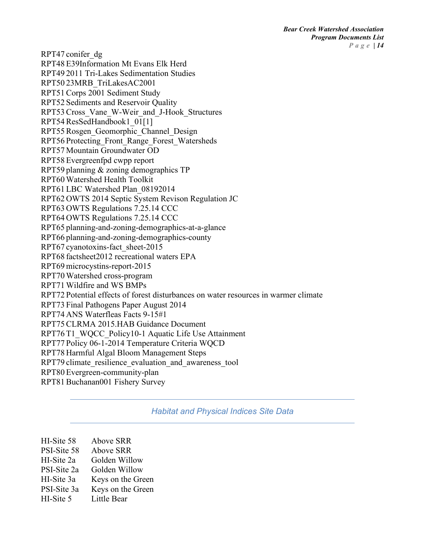RPT47 conifer\_dg RPT48 E39Information Mt Evans Elk Herd RPT49 2011 Tri-Lakes Sedimentation Studies RPT50 23MRB\_TriLakesAC2001 RPT51Corps 2001 Sediment Study RPT52 Sediments and Reservoir Quality RPT53Cross\_Vane\_W-Weir\_and\_J-Hook\_Structures RPT54ResSedHandbook1\_01[1] RPT55 Rosgen\_Geomorphic\_Channel\_Design RPT56 Protecting\_Front\_Range\_Forest\_Watersheds RPT57 Mountain Groundwater OD RPT58 Evergreenfpd cwpp report RPT59 planning & zoning demographics TP RPT60 Watershed Health Toolkit RPT61 LBC Watershed Plan\_08192014 RPT62 OWTS 2014 Septic System Revison Regulation JC RPT63 OWTS Regulations 7.25.14 CCC RPT64 OWTS Regulations 7.25.14 CCC RPT65 planning-and-zoning-demographics-at-a-glance RPT66 planning-and-zoning-demographics-county RPT67 cyanotoxins-fact\_sheet-2015 RPT68 factsheet2012 recreational waters EPA RPT69 microcystins-report-2015 RPT70 Watershed cross-program RPT71 Wildfire and WS BMPs RPT72 Potential effects of forest disturbances on water resources in warmer climate RPT73 Final Pathogens Paper August 2014 RPT74 ANS Waterfleas Facts 9-15#1 RPT75CLRMA 2015.HAB Guidance Document RPT76 T1\_WQCC\_Policy10-1 Aquatic Life Use Attainment RPT77 Policy 06-1-2014 Temperature Criteria WQCD RPT78 Harmful Algal Bloom Management Steps RPT79 climate\_resilience\_evaluation\_and\_awareness\_tool RPT80 Evergreen-community-plan RPT81 Buchanan001 Fishery Survey

#### *Habitat and Physical Indices Site Data*

| HI-Site 58  | <b>Above SRR</b>  |
|-------------|-------------------|
| PSI-Site 58 | Above SRR         |
| HI-Site 2a  | Golden Willow     |
| PSI-Site 2a | Golden Willow     |
| HI-Site 3a  | Keys on the Green |
| PSI-Site 3a | Keys on the Green |
| HI-Site 5   | Little Bear       |